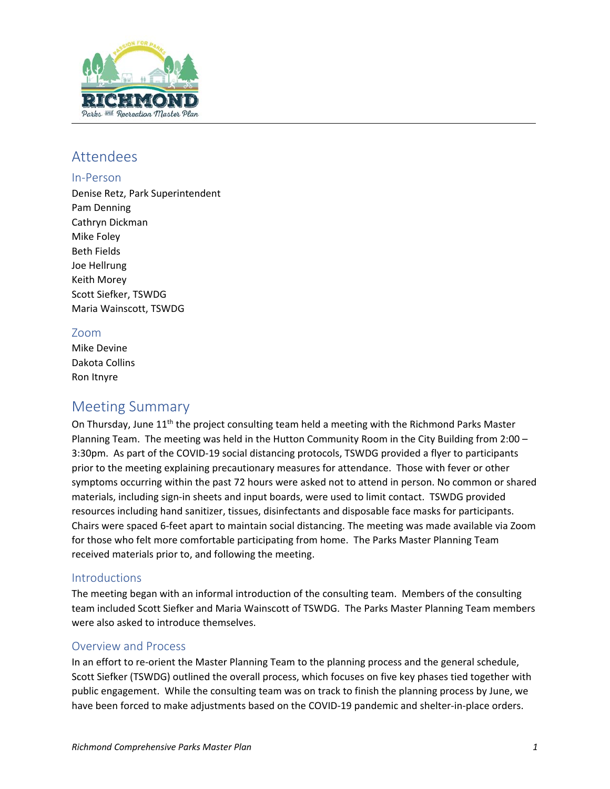

# Attendees

## In‐Person

Denise Retz, Park Superintendent Pam Denning Cathryn Dickman Mike Foley Beth Fields Joe Hellrung Keith Morey Scott Siefker, TSWDG Maria Wainscott, TSWDG

# Zoom

Mike Devine Dakota Collins Ron Itnyre

# Meeting Summary

On Thursday, June 11<sup>th</sup> the project consulting team held a meeting with the Richmond Parks Master Planning Team. The meeting was held in the Hutton Community Room in the City Building from 2:00 – 3:30pm. As part of the COVID-19 social distancing protocols, TSWDG provided a flyer to participants prior to the meeting explaining precautionary measures for attendance. Those with fever or other symptoms occurring within the past 72 hours were asked not to attend in person. No common or shared materials, including sign-in sheets and input boards, were used to limit contact. TSWDG provided resources including hand sanitizer, tissues, disinfectants and disposable face masks for participants. Chairs were spaced 6-feet apart to maintain social distancing. The meeting was made available via Zoom for those who felt more comfortable participating from home. The Parks Master Planning Team received materials prior to, and following the meeting.

# **Introductions**

The meeting began with an informal introduction of the consulting team. Members of the consulting team included Scott Siefker and Maria Wainscott of TSWDG. The Parks Master Planning Team members were also asked to introduce themselves.

## Overview and Process

In an effort to re-orient the Master Planning Team to the planning process and the general schedule, Scott Siefker (TSWDG) outlined the overall process, which focuses on five key phases tied together with public engagement. While the consulting team was on track to finish the planning process by June, we have been forced to make adjustments based on the COVID-19 pandemic and shelter-in-place orders.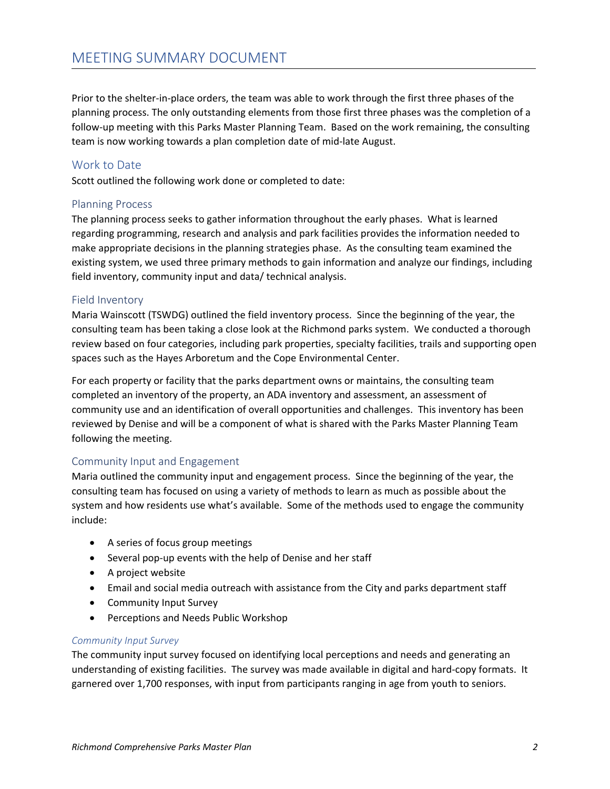Prior to the shelter-in-place orders, the team was able to work through the first three phases of the planning process. The only outstanding elements from those first three phases was the completion of a follow-up meeting with this Parks Master Planning Team. Based on the work remaining, the consulting team is now working towards a plan completion date of mid-late August.

### Work to Date

Scott outlined the following work done or completed to date:

#### Planning Process

The planning process seeks to gather information throughout the early phases. What is learned regarding programming, research and analysis and park facilities provides the information needed to make appropriate decisions in the planning strategies phase. As the consulting team examined the existing system, we used three primary methods to gain information and analyze our findings, including field inventory, community input and data/ technical analysis.

#### Field Inventory

Maria Wainscott (TSWDG) outlined the field inventory process. Since the beginning of the year, the consulting team has been taking a close look at the Richmond parks system. We conducted a thorough review based on four categories, including park properties, specialty facilities, trails and supporting open spaces such as the Hayes Arboretum and the Cope Environmental Center.

For each property or facility that the parks department owns or maintains, the consulting team completed an inventory of the property, an ADA inventory and assessment, an assessment of community use and an identification of overall opportunities and challenges. This inventory has been reviewed by Denise and will be a component of what is shared with the Parks Master Planning Team following the meeting.

#### Community Input and Engagement

Maria outlined the community input and engagement process. Since the beginning of the year, the consulting team has focused on using a variety of methods to learn as much as possible about the system and how residents use what's available. Some of the methods used to engage the community include:

- A series of focus group meetings
- Several pop-up events with the help of Denise and her staff
- A project website
- Email and social media outreach with assistance from the City and parks department staff
- **•** Community Input Survey
- Perceptions and Needs Public Workshop

#### *Community Input Survey*

The community input survey focused on identifying local perceptions and needs and generating an understanding of existing facilities. The survey was made available in digital and hard-copy formats. It garnered over 1,700 responses, with input from participants ranging in age from youth to seniors.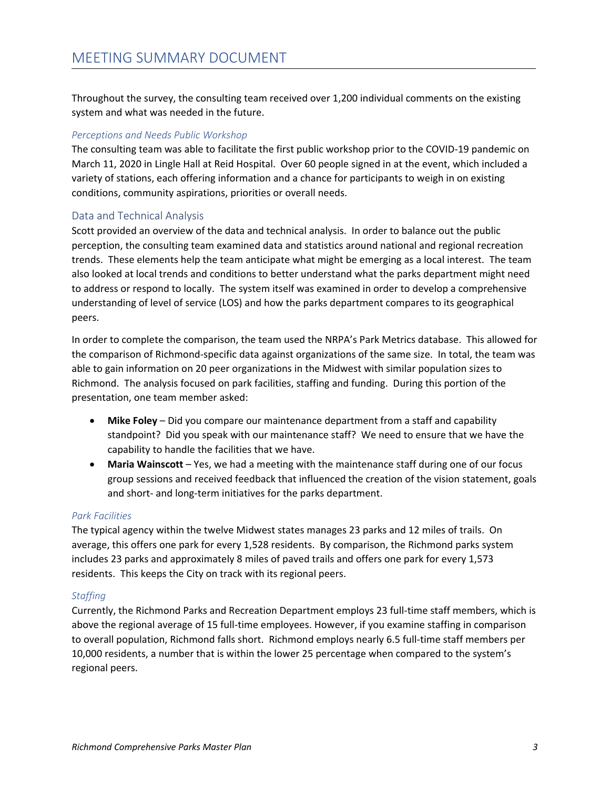Throughout the survey, the consulting team received over 1,200 individual comments on the existing system and what was needed in the future.

## *Perceptions and Needs Public Workshop*

The consulting team was able to facilitate the first public workshop prior to the COVID-19 pandemic on March 11, 2020 in Lingle Hall at Reid Hospital. Over 60 people signed in at the event, which included a variety of stations, each offering information and a chance for participants to weigh in on existing conditions, community aspirations, priorities or overall needs.

### Data and Technical Analysis

Scott provided an overview of the data and technical analysis. In order to balance out the public perception, the consulting team examined data and statistics around national and regional recreation trends. These elements help the team anticipate what might be emerging as a local interest. The team also looked at local trends and conditions to better understand what the parks department might need to address or respond to locally. The system itself was examined in order to develop a comprehensive understanding of level of service (LOS) and how the parks department compares to its geographical peers.

In order to complete the comparison, the team used the NRPA's Park Metrics database. This allowed for the comparison of Richmond-specific data against organizations of the same size. In total, the team was able to gain information on 20 peer organizations in the Midwest with similar population sizes to Richmond. The analysis focused on park facilities, staffing and funding. During this portion of the presentation, one team member asked:

- **Mike Foley** Did you compare our maintenance department from a staff and capability standpoint? Did you speak with our maintenance staff? We need to ensure that we have the capability to handle the facilities that we have.
- **Maria Wainscott** Yes, we had a meeting with the maintenance staff during one of our focus group sessions and received feedback that influenced the creation of the vision statement, goals and short- and long-term initiatives for the parks department.

#### *Park Facilities*

The typical agency within the twelve Midwest states manages 23 parks and 12 miles of trails. On average, this offers one park for every 1,528 residents. By comparison, the Richmond parks system includes 23 parks and approximately 8 miles of paved trails and offers one park for every 1,573 residents. This keeps the City on track with its regional peers.

#### *Staffing*

Currently, the Richmond Parks and Recreation Department employs 23 full-time staff members, which is above the regional average of 15 full-time employees. However, if you examine staffing in comparison to overall population, Richmond falls short. Richmond employs nearly 6.5 full-time staff members per 10,000 residents, a number that is within the lower 25 percentage when compared to the system's regional peers.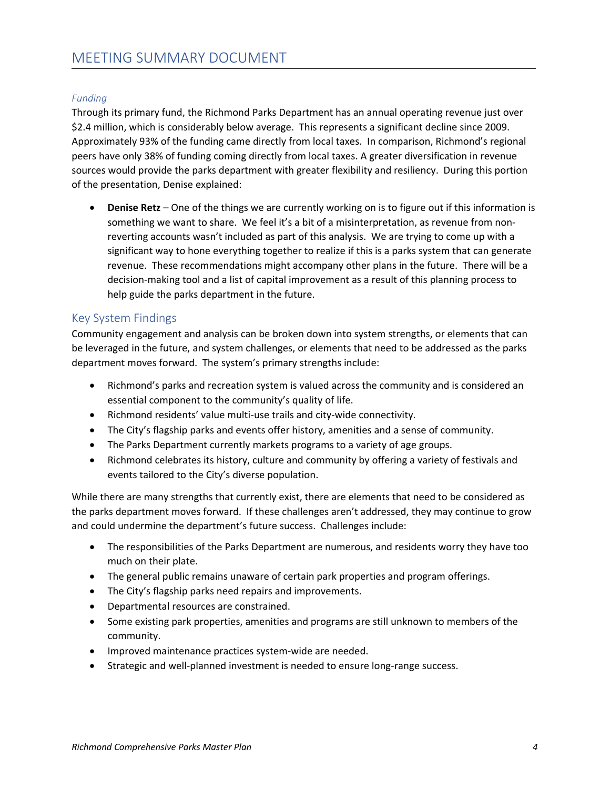# *Funding*

Through its primary fund, the Richmond Parks Department has an annual operating revenue just over \$2.4 million, which is considerably below average. This represents a significant decline since 2009. Approximately 93% of the funding came directly from local taxes. In comparison, Richmond's regional peers have only 38% of funding coming directly from local taxes. A greater diversification in revenue sources would provide the parks department with greater flexibility and resiliency. During this portion of the presentation, Denise explained:

 **Denise Retz** – One of the things we are currently working on is to figure out if this information is something we want to share. We feel it's a bit of a misinterpretation, as revenue from nonreverting accounts wasn't included as part of this analysis. We are trying to come up with a significant way to hone everything together to realize if this is a parks system that can generate revenue. These recommendations might accompany other plans in the future. There will be a decision-making tool and a list of capital improvement as a result of this planning process to help guide the parks department in the future.

# Key System Findings

Community engagement and analysis can be broken down into system strengths, or elements that can be leveraged in the future, and system challenges, or elements that need to be addressed as the parks department moves forward. The system's primary strengths include:

- Richmond's parks and recreation system is valued across the community and is considered an essential component to the community's quality of life.
- Richmond residents' value multi-use trails and city-wide connectivity.
- The City's flagship parks and events offer history, amenities and a sense of community.
- The Parks Department currently markets programs to a variety of age groups.
- Richmond celebrates its history, culture and community by offering a variety of festivals and events tailored to the City's diverse population.

While there are many strengths that currently exist, there are elements that need to be considered as the parks department moves forward. If these challenges aren't addressed, they may continue to grow and could undermine the department's future success. Challenges include:

- The responsibilities of the Parks Department are numerous, and residents worry they have too much on their plate.
- The general public remains unaware of certain park properties and program offerings.
- The City's flagship parks need repairs and improvements.
- Departmental resources are constrained.
- Some existing park properties, amenities and programs are still unknown to members of the community.
- **•** Improved maintenance practices system-wide are needed.
- Strategic and well-planned investment is needed to ensure long-range success.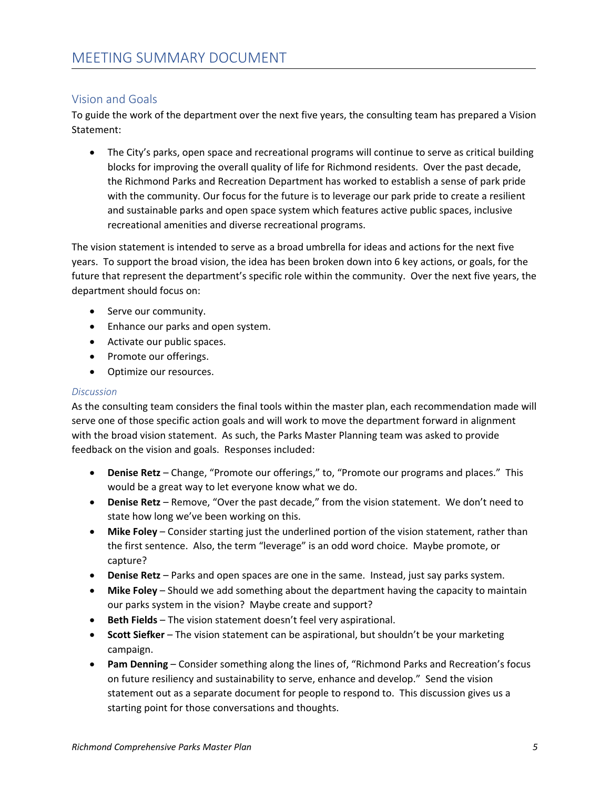# Vision and Goals

To guide the work of the department over the next five years, the consulting team has prepared a Vision Statement:

• The City's parks, open space and recreational programs will continue to serve as critical building blocks for improving the overall quality of life for Richmond residents. Over the past decade, the Richmond Parks and Recreation Department has worked to establish a sense of park pride with the community. Our focus for the future is to leverage our park pride to create a resilient and sustainable parks and open space system which features active public spaces, inclusive recreational amenities and diverse recreational programs.

The vision statement is intended to serve as a broad umbrella for ideas and actions for the next five years. To support the broad vision, the idea has been broken down into 6 key actions, or goals, for the future that represent the department's specific role within the community. Over the next five years, the department should focus on:

- Serve our community.
- Enhance our parks and open system.
- Activate our public spaces.
- Promote our offerings.
- Optimize our resources.

#### *Discussion*

As the consulting team considers the final tools within the master plan, each recommendation made will serve one of those specific action goals and will work to move the department forward in alignment with the broad vision statement. As such, the Parks Master Planning team was asked to provide feedback on the vision and goals. Responses included:

- **Denise Retz** Change, "Promote our offerings," to, "Promote our programs and places." This would be a great way to let everyone know what we do.
- **Denise Retz** Remove, "Over the past decade," from the vision statement. We don't need to state how long we've been working on this.
- **Mike Foley** Consider starting just the underlined portion of the vision statement, rather than the first sentence. Also, the term "leverage" is an odd word choice. Maybe promote, or capture?
- **Denise Retz** Parks and open spaces are one in the same. Instead, just say parks system.
- **Mike Foley** Should we add something about the department having the capacity to maintain our parks system in the vision? Maybe create and support?
- **Beth Fields** The vision statement doesn't feel very aspirational.
- **Scott Siefker** The vision statement can be aspirational, but shouldn't be your marketing campaign.
- **Pam Denning** Consider something along the lines of, "Richmond Parks and Recreation's focus on future resiliency and sustainability to serve, enhance and develop." Send the vision statement out as a separate document for people to respond to. This discussion gives us a starting point for those conversations and thoughts.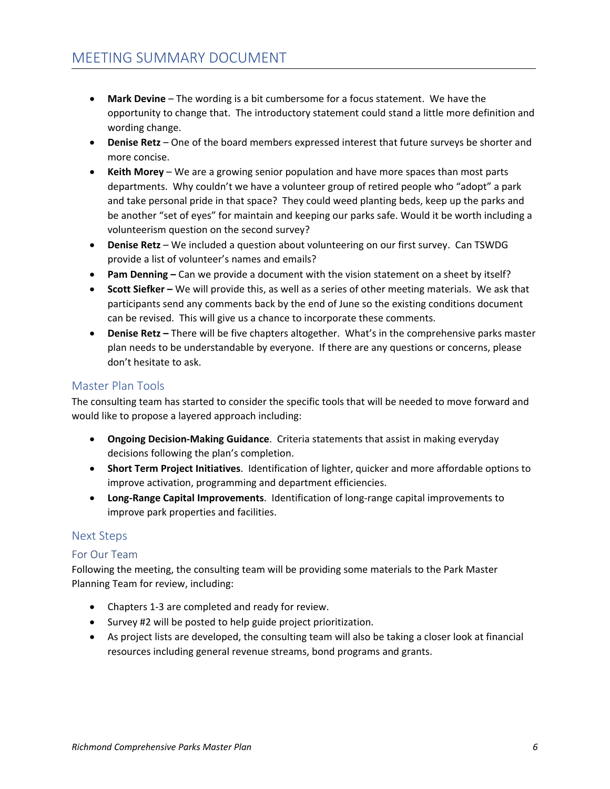- **Mark Devine** The wording is a bit cumbersome for a focus statement. We have the opportunity to change that. The introductory statement could stand a little more definition and wording change.
- **Denise Retz** One of the board members expressed interest that future surveys be shorter and more concise.
- **Keith Morey**  We are a growing senior population and have more spaces than most parts departments. Why couldn't we have a volunteer group of retired people who "adopt" a park and take personal pride in that space? They could weed planting beds, keep up the parks and be another "set of eyes" for maintain and keeping our parks safe. Would it be worth including a volunteerism question on the second survey?
- **Denise Retz**  We included a question about volunteering on our first survey. Can TSWDG provide a list of volunteer's names and emails?
- **Pam Denning** Can we provide a document with the vision statement on a sheet by itself?
- **Scott Siefker** We will provide this, as well as a series of other meeting materials. We ask that participants send any comments back by the end of June so the existing conditions document can be revised. This will give us a chance to incorporate these comments.
- **Denise Retz** There will be five chapters altogether. What's in the comprehensive parks master plan needs to be understandable by everyone. If there are any questions or concerns, please don't hesitate to ask.

# Master Plan Tools

The consulting team has started to consider the specific tools that will be needed to move forward and would like to propose a layered approach including:

- **Ongoing Decision-Making Guidance**. Criteria statements that assist in making everyday decisions following the plan's completion.
- **Short Term Project Initiatives**. Identification of lighter, quicker and more affordable options to improve activation, programming and department efficiencies.
- **Long-Range Capital Improvements**. Identification of long-range capital improvements to improve park properties and facilities.

## Next Steps

## For Our Team

Following the meeting, the consulting team will be providing some materials to the Park Master Planning Team for review, including:

- Chapters 1-3 are completed and ready for review.
- Survey #2 will be posted to help guide project prioritization.
- As project lists are developed, the consulting team will also be taking a closer look at financial resources including general revenue streams, bond programs and grants.